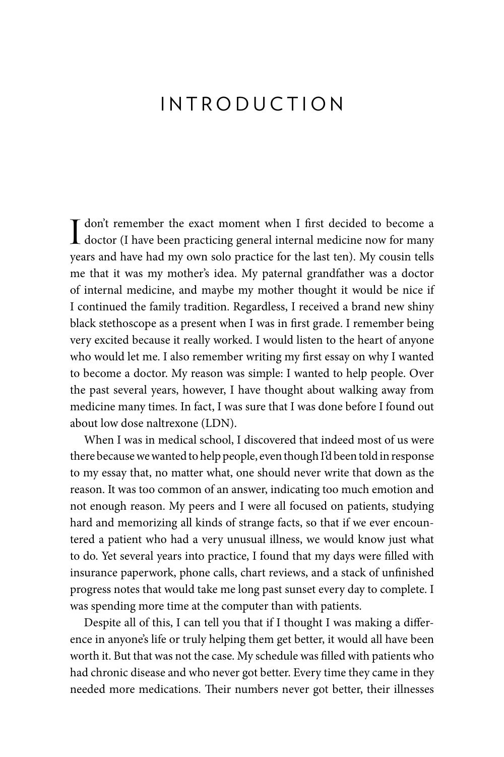## INTRODUCTION

I don't remember the exact moment when I first decided to become a doctor (I have been practicing general internal medicine now for many years and have had my own solo practice for the last ten). My cousin tells me that it was my mother's idea. My paternal grandfather was a doctor of internal medicine, and maybe my mother thought it would be nice if I continued the family tradition. Regardless, I received a brand new shiny black stethoscope as a present when I was in first grade. I remember being very excited because it really worked. I would listen to the heart of anyone who would let me. I also remember writing my first essay on why I wanted to become a doctor. My reason was simple: I wanted to help people. Over the past several years, however, I have thought about walking away from medicine many times. In fact, I was sure that I was done before I found out about low dose naltrexone (LDN).

When I was in medical school, I discovered that indeed most of us were there because we wanted to help people, even though I'd been told in response to my essay that, no matter what, one should never write that down as the reason. It was too common of an answer, indicating too much emotion and not enough reason. My peers and I were all focused on patients, studying hard and memorizing all kinds of strange facts, so that if we ever encountered a patient who had a very unusual illness, we would know just what to do. Yet several years into practice, I found that my days were filled with insurance paperwork, phone calls, chart reviews, and a stack of unfinished progress notes that would take me long past sunset every day to complete. I was spending more time at the computer than with patients.

Despite all of this, I can tell you that if I thought I was making a difference in anyone's life or truly helping them get better, it would all have been worth it. But that was not the case. My schedule was filled with patients who had chronic disease and who never got better. Every time they came in they needed more medications. Their numbers never got better, their illnesses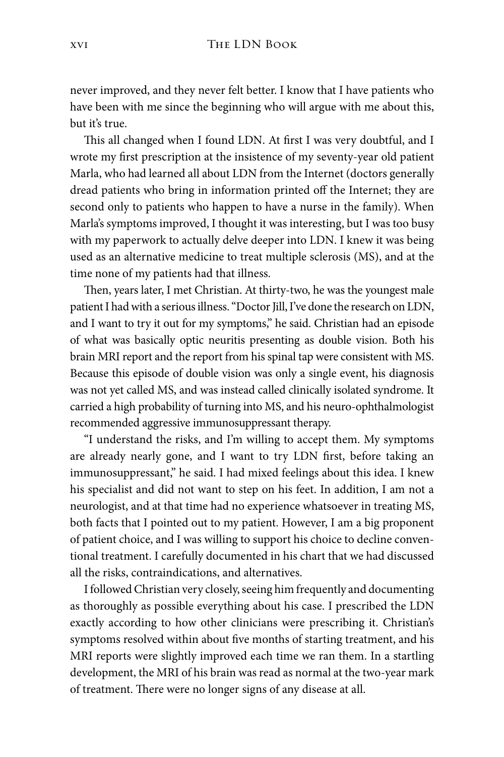never improved, and they never felt better. I know that I have patients who have been with me since the beginning who will argue with me about this, but it's true.

This all changed when I found LDN. At first I was very doubtful, and I wrote my first prescription at the insistence of my seventy-year old patient Marla, who had learned all about LDN from the Internet (doctors generally dread patients who bring in information printed off the Internet; they are second only to patients who happen to have a nurse in the family). When Marla's symptoms improved, I thought it was interesting, but I was too busy with my paperwork to actually delve deeper into LDN. I knew it was being used as an alternative medicine to treat multiple sclerosis (MS), and at the time none of my patients had that illness.

Then, years later, I met Christian. At thirty-two, he was the youngest male patient I had with a serious illness. "Doctor Jill, I've done the research on LDN, and I want to try it out for my symptoms," he said. Christian had an episode of what was basically optic neuritis presenting as double vision. Both his brain MRI report and the report from his spinal tap were consistent with MS. Because this episode of double vision was only a single event, his diagnosis was not yet called MS, and was instead called clinically isolated syndrome. It carried a high probability of turning into MS, and his neuro-ophthalmologist recommended aggressive immunosuppressant therapy.

"I understand the risks, and I'm willing to accept them. My symptoms are already nearly gone, and I want to try LDN first, before taking an immunosuppressant," he said. I had mixed feelings about this idea. I knew his specialist and did not want to step on his feet. In addition, I am not a neurologist, and at that time had no experience whatsoever in treating MS, both facts that I pointed out to my patient. However, I am a big proponent of patient choice, and I was willing to support his choice to decline conventional treatment. I carefully documented in his chart that we had discussed all the risks, contraindications, and alternatives.

I followed Christian very closely, seeing him frequently and documenting as thoroughly as possible everything about his case. I prescribed the LDN exactly according to how other clinicians were prescribing it. Christian's symptoms resolved within about five months of starting treatment, and his MRI reports were slightly improved each time we ran them. In a startling development, the MRI of his brain was read as normal at the two-year mark of treatment. There were no longer signs of any disease at all.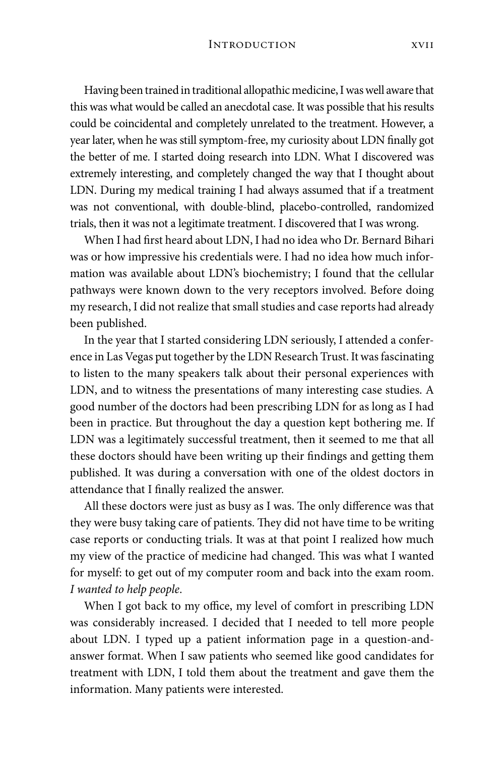Having been trained in traditional allopathic medicine, I was well aware that this was what would be called an anecdotal case. It was possible that his results could be coincidental and completely unrelated to the treatment. However, a year later, when he was still symptom-free, my curiosity about LDN finally got the better of me. I started doing research into LDN. What I discovered was extremely interesting, and completely changed the way that I thought about LDN. During my medical training I had always assumed that if a treatment was not conventional, with double-blind, placebo-controlled, randomized trials, then it was not a legitimate treatment. I discovered that I was wrong.

When I had first heard about LDN, I had no idea who Dr. Bernard Bihari was or how impressive his credentials were. I had no idea how much information was available about LDN's biochemistry; I found that the cellular pathways were known down to the very receptors involved. Before doing my research, I did not realize that small studies and case reports had already been published.

In the year that I started considering LDN seriously, I attended a conference in Las Vegas put together by the LDN Research Trust. It was fascinating to listen to the many speakers talk about their personal experiences with LDN, and to witness the presentations of many interesting case studies. A good number of the doctors had been prescribing LDN for as long as I had been in practice. But throughout the day a question kept bothering me. If LDN was a legitimately successful treatment, then it seemed to me that all these doctors should have been writing up their findings and getting them published. It was during a conversation with one of the oldest doctors in attendance that I finally realized the answer.

All these doctors were just as busy as I was. The only difference was that they were busy taking care of patients. They did not have time to be writing case reports or conducting trials. It was at that point I realized how much my view of the practice of medicine had changed. This was what I wanted for myself: to get out of my computer room and back into the exam room. *I wanted to help people*.

When I got back to my office, my level of comfort in prescribing LDN was considerably increased. I decided that I needed to tell more people about LDN. I typed up a patient information page in a question-andanswer format. When I saw patients who seemed like good candidates for treatment with LDN, I told them about the treatment and gave them the information. Many patients were interested.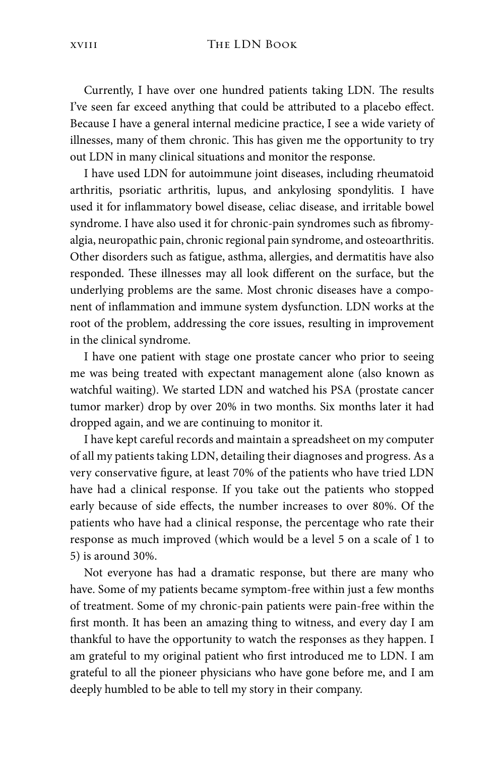Currently, I have over one hundred patients taking LDN. The results I've seen far exceed anything that could be attributed to a placebo effect. Because I have a general internal medicine practice, I see a wide variety of illnesses, many of them chronic. This has given me the opportunity to try out LDN in many clinical situations and monitor the response.

I have used LDN for autoimmune joint diseases, including rheumatoid arthritis, psoriatic arthritis, lupus, and ankylosing spondylitis. I have used it for inflammatory bowel disease, celiac disease, and irritable bowel syndrome. I have also used it for chronic-pain syndromes such as fibromyalgia, neuropathic pain, chronic regional pain syndrome, and osteoarthritis. Other disorders such as fatigue, asthma, allergies, and dermatitis have also responded. These illnesses may all look different on the surface, but the underlying problems are the same. Most chronic diseases have a component of inflammation and immune system dysfunction. LDN works at the root of the problem, addressing the core issues, resulting in improvement in the clinical syndrome.

I have one patient with stage one prostate cancer who prior to seeing me was being treated with expectant management alone (also known as watchful waiting). We started LDN and watched his PSA (prostate cancer tumor marker) drop by over 20% in two months. Six months later it had dropped again, and we are continuing to monitor it.

I have kept careful records and maintain a spreadsheet on my computer of all my patients taking LDN, detailing their diagnoses and progress. As a very conservative figure, at least 70% of the patients who have tried LDN have had a clinical response. If you take out the patients who stopped early because of side effects, the number increases to over 80%. Of the patients who have had a clinical response, the percentage who rate their response as much improved (which would be a level 5 on a scale of 1 to 5) is around 30%.

Not everyone has had a dramatic response, but there are many who have. Some of my patients became symptom-free within just a few months of treatment. Some of my chronic-pain patients were pain-free within the first month. It has been an amazing thing to witness, and every day I am thankful to have the opportunity to watch the responses as they happen. I am grateful to my original patient who first introduced me to LDN. I am grateful to all the pioneer physicians who have gone before me, and I am deeply humbled to be able to tell my story in their company.